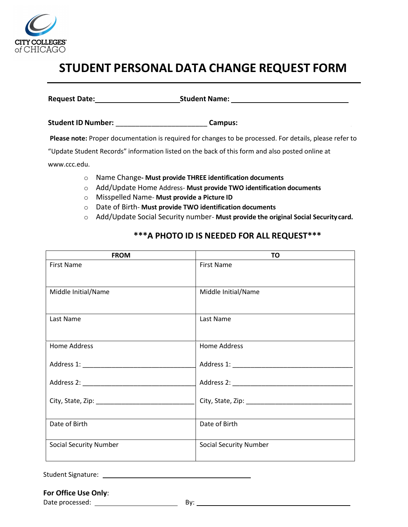

# **STUDENT PERSONAL DATA CHANGE REQUEST FORM**

**Request Date: Student Name:**

**Student ID Number:** \_\_\_\_\_\_\_\_\_\_\_\_\_\_\_\_\_\_\_\_\_\_\_ **Campus:** \_\_\_\_\_\_\_\_\_\_\_\_\_\_\_\_\_\_\_\_\_\_\_\_\_\_\_\_

**Please note:** Proper documentation is required for changes to be processed. For details, please refer to

"Update Student Records" information listed on the back of this form and also posted online at

www.ccc.edu.

- o Name Change**- Must provide THREE identification documents**
- o Add/Update Home Address- **Must provide TWO identification documents**
- o Misspelled Name- **Must provide a Picture ID**
- o Date of Birth- **Must provide TWO identification documents**
- o Add/Update Social Security number- **Must provide the original Social Securitycard.**

## **\*\*\*A PHOTO ID IS NEEDED FOR ALL REQUEST\*\*\***

| <b>FROM</b>                   | TO                            |
|-------------------------------|-------------------------------|
| <b>First Name</b>             | <b>First Name</b>             |
| Middle Initial/Name           | Middle Initial/Name           |
| Last Name                     | Last Name                     |
| <b>Home Address</b>           | <b>Home Address</b>           |
|                               |                               |
|                               |                               |
|                               |                               |
| Date of Birth                 | Date of Birth                 |
| <b>Social Security Number</b> | <b>Social Security Number</b> |

Student Signature: The Student Signature:

## **For Office Use Only**:

Date processed: By: